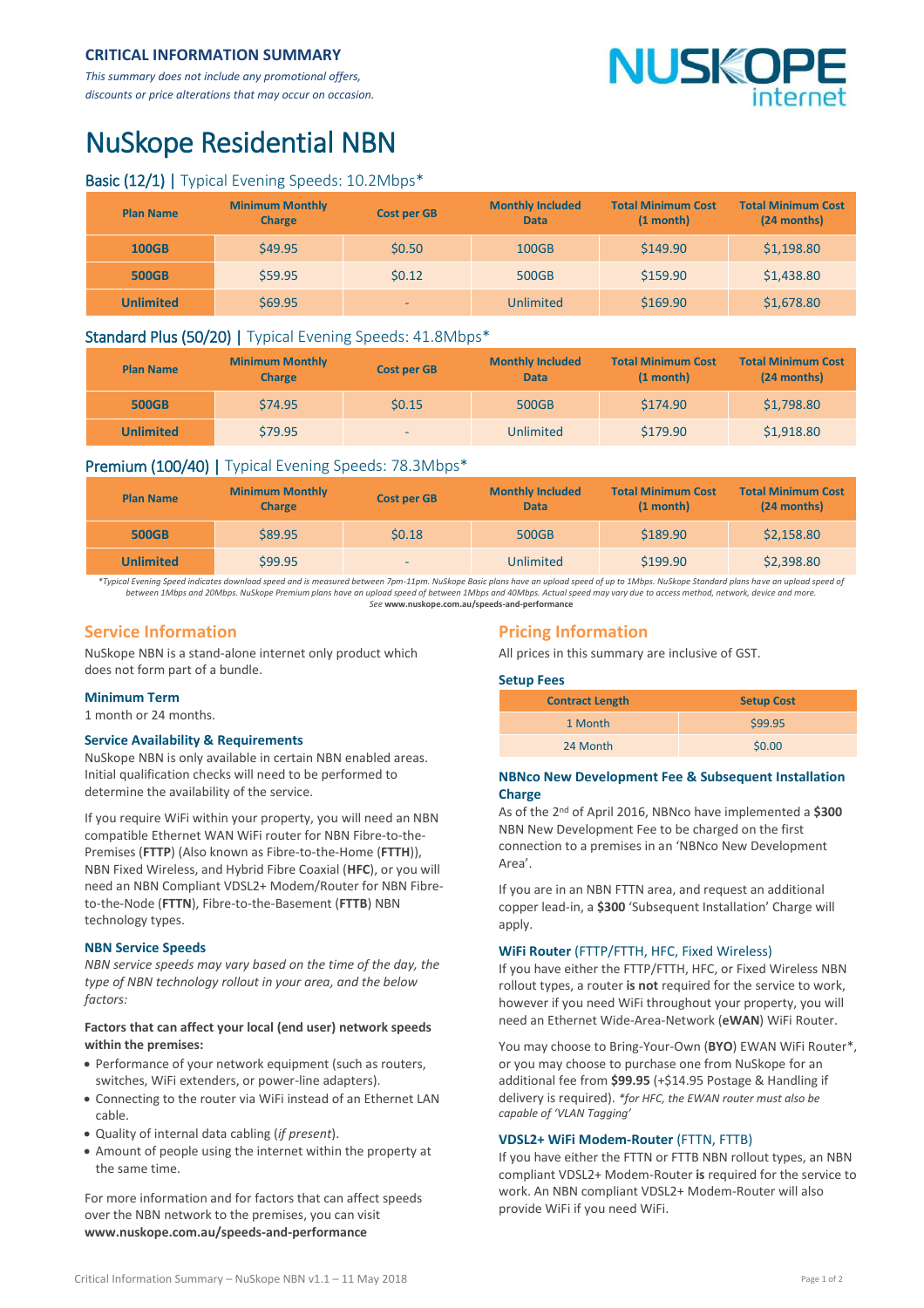# **CRITICAL INFORMATION SUMMARY**

*This summary does not include any promotional offers, discounts or price alterations that may occur on occasion.*

# VUSKO

# NuSkope Residential NBN

# Basic (12/1) | Typical Evening Speeds: 10.2Mbps\*

| <b>Plan Name</b> | <b>Minimum Monthly</b><br><b>Charge</b> | <b>Cost per GB</b> | <b>Monthly Included</b><br><b>Data</b> | <b>Total Minimum Cost</b><br>(1 month) | <b>Total Minimum Cost</b><br>(24 months) |
|------------------|-----------------------------------------|--------------------|----------------------------------------|----------------------------------------|------------------------------------------|
| <b>100GB</b>     | \$49.95                                 | \$0.50             | 100GB                                  | \$149.90                               | \$1,198.80                               |
| <b>500GB</b>     | \$59.95                                 | 50.12              | 500GB                                  | \$159.90                               | \$1,438.80                               |
| <b>Unlimited</b> | \$69.95                                 | -                  | Unlimited                              | \$169.90                               | \$1,678.80                               |

### Standard Plus (50/20) | Typical Evening Speeds: 41.8Mbps\*

| <b>Plan Name</b> | <b>Minimum Monthly</b><br><b>Charge</b> | <b>Cost per GB</b> | <b>Monthly Included</b><br><b>Data</b> | <b>Total Minimum Cost</b><br>$(1 \text{ month})$ | <b>Total Minimum Cost</b><br>(24 months) |
|------------------|-----------------------------------------|--------------------|----------------------------------------|--------------------------------------------------|------------------------------------------|
| <b>500GB</b>     | \$74.95                                 | \$0.15             | 500GB                                  | \$174.90                                         | \$1,798.80                               |
| <b>Unlimited</b> | \$79.95                                 | $\sim$             | Unlimited                              | \$179.90                                         | \$1,918.80                               |

# Premium (100/40) | Typical Evening Speeds: 78.3Mbps\*

| <b>Plan Name</b> | <b>Minimum Monthly</b><br><b>Charge</b> | <b>Cost per GB</b> | <b>Monthly Included</b><br><b>Data</b> | <b>Total Minimum Cost</b><br>$(1 \text{ month})$ | <b>Total Minimum Cost</b><br>(24 months) |
|------------------|-----------------------------------------|--------------------|----------------------------------------|--------------------------------------------------|------------------------------------------|
| <b>500GB</b>     | \$89.95                                 | \$0.18             | 500GB                                  | \$189.90                                         | \$2,158.80                               |
| <b>Unlimited</b> | \$99.95                                 | -                  | <b>Unlimited</b>                       | \$199.90                                         | \$2,398.80                               |

*\*Typical Evening Speed indicates download speed and is measured between 7pm-11pm. NuSkope Basic plans have an upload speed of up to 1Mbps. NuSkope Standard plans have an upload speed of between 1Mbps and 20Mbps. NuSkope Premium plans have an upload speed of between 1Mbps and 40Mbps. Actual speed may vary due to access method, network, device and more. See* **<www.nuskope.com.au/speeds-and-performance>**

# **Service Information**

NuSkope NBN is a stand-alone internet only product which does not form part of a bundle.

#### **Minimum Term**

1 month or 24 months.

#### **Service Availability & Requirements**

NuSkope NBN is only available in certain NBN enabled areas. Initial qualification checks will need to be performed to determine the availability of the service.

If you require WiFi within your property, you will need an NBN compatible Ethernet WAN WiFi router for NBN Fibre-to-the-Premises (**FTTP**) (Also known as Fibre-to-the-Home (**FTTH**)), NBN Fixed Wireless, and Hybrid Fibre Coaxial (**HFC**), or you will need an NBN Compliant VDSL2+ Modem/Router for NBN Fibreto-the-Node (**FTTN**), Fibre-to-the-Basement (**FTTB**) NBN technology types.

#### **NBN Service Speeds**

*NBN service speeds may vary based on the time of the day, the type of NBN technology rollout in your area, and the below factors:*

#### **Factors that can affect your local (end user) network speeds within the premises:**

- Performance of your network equipment (such as routers, switches, WiFi extenders, or power-line adapters).
- Connecting to the router via WiFi instead of an Ethernet LAN cable.
- Quality of internal data cabling (*if present*).
- Amount of people using the internet within the property at the same time.

For more information and for factors that can affect speeds over the NBN network to the premises, you can visit **[www.nuskope.com.au/speeds-and-performance](http://www.nuskope.com.au/speeds-and-performance)**

# **Pricing Information**

All prices in this summary are inclusive of GST.

#### **Setup Fees**

| <b>Contract Length</b> | <b>Setup Cost</b> |  |
|------------------------|-------------------|--|
| 1 Month                | \$99.95           |  |
| 24 Month               | \$0.00            |  |

#### **NBNco New Development Fee & Subsequent Installation Charge**

As of the 2 nd of April 2016, NBNco have implemented a **\$300** NBN New Development Fee to be charged on the first connection to a premises in an 'NBNco New Development Area'.

If you are in an NBN FTTN area, and request an additional copper lead-in, a **\$300** 'Subsequent Installation' Charge will apply.

#### **WiFi Router** (FTTP/FTTH, HFC, Fixed Wireless)

If you have either the FTTP/FTTH, HFC, or Fixed Wireless NBN rollout types, a router **is not** required for the service to work, however if you need WiFi throughout your property, you will need an Ethernet Wide-Area-Network (**eWAN**) WiFi Router.

You may choose to Bring-Your-Own (**BYO**) EWAN WiFi Router\*, or you may choose to purchase one from NuSkope for an additional fee from **\$99.95** (+\$14.95 Postage & Handling if delivery is required). *\*for HFC, the EWAN router must also be capable of 'VLAN Tagging'*

#### **VDSL2+ WiFi Modem-Router** (FTTN, FTTB)

If you have either the FTTN or FTTB NBN rollout types, an NBN compliant VDSL2+ Modem-Router **is** required for the service to work. An NBN compliant VDSL2+ Modem-Router will also provide WiFi if you need WiFi.